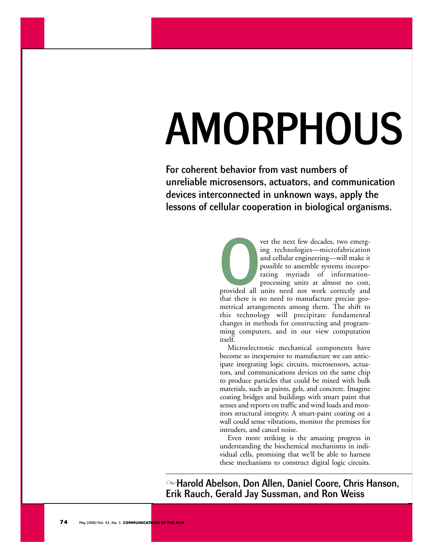# AMORPHOUS

For coherent behavior from vast numbers of unreliable microsensors, actuators, and communication devices interconnected in unknown ways, apply the lessons of cellular cooperation in biological organisms.

> ver the next few decades, two emerging technologies—microfabrication and cellular engineering—will make it possible to assemble systems incorporating myriads of informationprocessing units at almost no cost,

provided all provided all units need not work correctly and that there is no need to manufacture precise geometrical arrangements among them. The shift to this technology will precipitate fundamental changes in methods for constructing and programming computers, and in our view computation itself.

Microelectronic mechanical components have become so inexpensive to manufacture we can anticipate integrating logic circuits, microsensors, actuators, and communications devices on the same chip to produce particles that could be mixed with bulk materials, such as paints, gels, and concrete. Imagine coating bridges and buildings with smart paint that senses and reports on traffic and wind loads and monitors structural integrity. A smart-paint coating on a wall could sense vibrations, monitor the premises for intruders, and cancel noise.

Even more striking is the amazing progress in understanding the biochemical mechanisms in individual cells, promising that we'll be able to harness these mechanisms to construct digital logic circuits.

-Harold Abelson, Don Allen, Daniel Coore, Chris Hanson, Erik Rauch, Gerald Jay Sussman, and Ron Weiss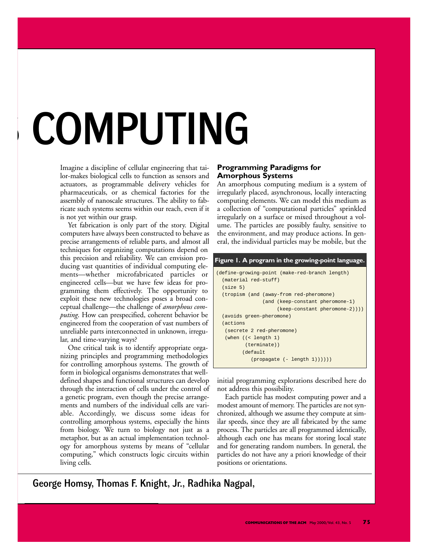## **COMPUTING**

Imagine a discipline of cellular engineering that tailor-makes biological cells to function as sensors and actuators, as programmable delivery vehicles for pharmaceuticals, or as chemical factories for the assembly of nanoscale structures. The ability to fabricate such systems seems within our reach, even if it is not yet within our grasp.

Yet fabrication is only part of the story. Digital computers have always been constructed to behave as precise arrangements of reliable parts, and almost all techniques for organizing computations depend on this precision and reliability. We can envision producing vast quantities of individual computing elements—whether microfabricated particles or engineered cells—but we have few ideas for programming them effectively. The opportunity to exploit these new technologies poses a broad conceptual challenge—the challenge of *amorphous computing*. How can prespecified, coherent behavior be engineered from the cooperation of vast numbers of unreliable parts interconnected in unknown, irregular, and time-varying ways?

One critical task is to identify appropriate organizing principles and programming methodologies for controlling amorphous systems. The growth of form in biological organisms demonstrates that welldefined shapes and functional structures can develop through the interaction of cells under the control of a genetic program, even though the precise arrangements and numbers of the individual cells are variable. Accordingly, we discuss some ideas for controlling amorphous systems, especially the hints from biology. We turn to biology not just as a metaphor, but as an actual implementation technology for amorphous systems by means of "cellular computing," which constructs logic circuits within living cells.

#### **Programming Paradigms for Amorphous Systems**

An amorphous computing medium is a system of irregularly placed, asynchronous, locally interacting computing elements. We can model this medium as a collection of "computational particles" sprinkled irregularly on a surface or mixed throughout a volume. The particles are possibly faulty, sensitive to the environment, and may produce actions. In general, the individual particles may be mobile, but the

| Figure 1. A program in the growing-point language.                                 |
|------------------------------------------------------------------------------------|
| (define-growing-point (make-red-branch length)<br>(material red-stuff)<br>(size 5) |
| (tropism (and (away-from red-pheromone)                                            |
| (and (keep-constant pheromone-1)                                                   |
| $(keep-constant phenomenone-2))$ )                                                 |
| (avoids green-pheromone)                                                           |
| (actions                                                                           |
| (secrete 2 red-pheromone)                                                          |
| (when $((<$ length 1)                                                              |
| $($ terminate $)$ )                                                                |
| (default                                                                           |
| $(propause (- length 1)))))$                                                       |

initial programming explorations described here do not address this possibility.

Each particle has modest computing power and a modest amount of memory. The particles are not synchronized, although we assume they compute at similar speeds, since they are all fabricated by the same process. The particles are all programmed identically, although each one has means for storing local state and for generating random numbers. In general, the particles do not have any a priori knowledge of their positions or orientations.

George Homsy, Thomas F. Knight, Jr., Radhika Nagpal,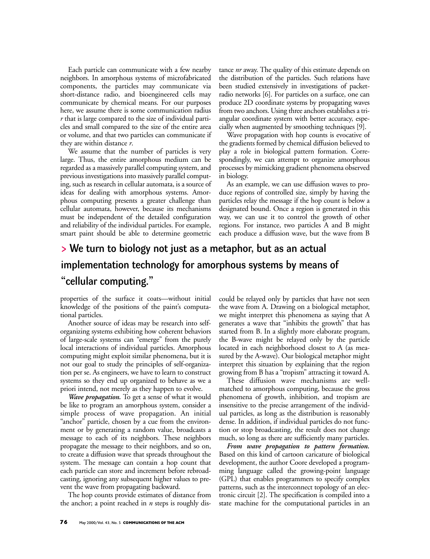Each particle can communicate with a few nearby neighbors. In amorphous systems of microfabricated components, the particles may communicate via short-distance radio, and bioengineered cells may communicate by chemical means. For our purposes here, we assume there is some communication radius *r* that is large compared to the size of individual particles and small compared to the size of the entire area or volume, and that two particles can communicate if they are within distance *r*.

We assume that the number of particles is very large. Thus, the entire amorphous medium can be regarded as a massively parallel computing system, and previous investigations into massively parallel computing, such as research in cellular automata, is a source of ideas for dealing with amorphous systems. Amorphous computing presents a greater challenge than cellular automata, however, because its mechanisms must be independent of the detailed configuration and reliability of the individual particles. For example, smart paint should be able to determine geometric tance *nr* away. The quality of this estimate depends on the distribution of the particles. Such relations have been studied extensively in investigations of packetradio networks [6]. For particles on a surface, one can produce 2D coordinate systems by propagating waves from two anchors. Using three anchors establishes a triangular coordinate system with better accuracy, especially when augmented by smoothing techniques [9].

Wave propagation with hop counts is evocative of the gradients formed by chemical diffusion believed to play a role in biological pattern formation. Correspondingly, we can attempt to organize amorphous processes by mimicking gradient phenomena observed in biology.

As an example, we can use diffusion waves to produce regions of controlled size, simply by having the particles relay the message if the hop count is below a designated bound. Once a region is generated in this way, we can use it to control the growth of other regions. For instance, two particles A and B might each produce a diffusion wave, but the wave from B

## > We turn to biology not just as a metaphor, but as an actual implementation technology for amorphous systems by means of "cellular computing."

properties of the surface it coats—without initial knowledge of the positions of the paint's computational particles.

Another source of ideas may be research into selforganizing systems exhibiting how coherent behaviors of large-scale systems can "emerge" from the purely local interactions of individual particles. Amorphous computing might exploit similar phenomena, but it is not our goal to study the principles of self-organization per se. As engineers, we have to learn to construct systems so they end up organized to behave as we a priori intend, not merely as they happen to evolve.

*Wave propagation.* To get a sense of what it would be like to program an amorphous system, consider a simple process of wave propagation. An initial "anchor" particle, chosen by a cue from the environment or by generating a random value, broadcasts a message to each of its neighbors. These neighbors propagate the message to their neighbors, and so on, to create a diffusion wave that spreads throughout the system. The message can contain a hop count that each particle can store and increment before rebroadcasting, ignoring any subsequent higher values to prevent the wave from propagating backward.

The hop counts provide estimates of distance from the anchor; a point reached in *n* steps is roughly discould be relayed only by particles that have not seen the wave from A. Drawing on a biological metaphor, we might interpret this phenomena as saying that A generates a wave that "inhibits the growth" that has started from B. In a slightly more elaborate program, the B-wave might be relayed only by the particle located in each neighborhood closest to A (as measured by the A-wave). Our biological metaphor might interpret this situation by explaining that the region growing from B has a "tropism" attracting it toward A.

These diffusion wave mechanisms are wellmatched to amorphous computing, because the gross phenomena of growth, inhibition, and tropism are insensitive to the precise arrangement of the individual particles, as long as the distribution is reasonably dense. In addition, if individual particles do not function or stop broadcasting, the result does not change much, so long as there are sufficiently many particles.

*From wave propagation to pattern formation.* Based on this kind of cartoon caricature of biological development, the author Coore developed a programming language called the growing-point language (GPL) that enables programmers to specify complex patterns, such as the interconnect topology of an electronic circuit [2]. The specification is compiled into a state machine for the computational particles in an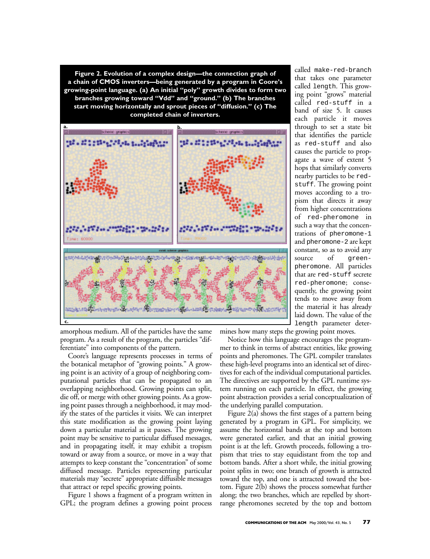**Figure 2. Evolution of a complex design—the connection graph of a chain of CMOS inverters—being generated by a program in Coore's growing-point language. (a) An initial "poly" growth divides to form two branches growing toward "Vdd" and "ground." (b) The branches start moving horizontally and sprout pieces of "diffusion." (c) The completed chain of inverters.**



called make-red-branch that takes one parameter called length. This growing point "grows" material called red-stuff in a band of size 5. It causes each particle it moves through to set a state bit that identifies the particle as red-stuff and also causes the particle to propagate a wave of extent 5 hops that similarly converts nearby particles to be redstuff. The growing point moves according to a tropism that directs it away from higher concentrations of red-pheromone in such a way that the concentrations of pheromone-1 and pheromone-2 are kept constant, so as to avoid any source of greenpheromone. All particles that are red-stuff secrete red-pheromone; consequently, the growing point tends to move away from the material it has already laid down. The value of the length parameter deter-

amorphous medium. All of the particles have the same program. As a result of the program, the particles "differentiate" into components of the pattern.

Coore's language represents processes in terms of the botanical metaphor of "growing points." A growing point is an activity of a group of neighboring computational particles that can be propagated to an overlapping neighborhood. Growing points can split, die off, or merge with other growing points. As a growing point passes through a neighborhood, it may modify the states of the particles it visits. We can interpret this state modification as the growing point laying down a particular material as it passes. The growing point may be sensitive to particular diffused messages, and in propagating itself, it may exhibit a tropism toward or away from a source, or move in a way that attempts to keep constant the "concentration" of some diffused message. Particles representing particular materials may "secrete" appropriate diffusible messages that attract or repel specific growing points.

Figure 1 shows a fragment of a program written in GPL; the program defines a growing point process mines how many steps the growing point moves.

Notice how this language encourages the programmer to think in terms of abstract entities, like growing points and pheromones. The GPL compiler translates these high-level programs into an identical set of directives for each of the individual computational particles. The directives are supported by the GPL runtime system running on each particle. In effect, the growing point abstraction provides a serial conceptualization of the underlying parallel computation.

Figure 2(a) shows the first stages of a pattern being generated by a program in GPL. For simplicity, we assume the horizontal bands at the top and bottom were generated earlier, and that an initial growing point is at the left. Growth proceeds, following a tropism that tries to stay equidistant from the top and bottom bands. After a short while, the initial growing point splits in two; one branch of growth is attracted toward the top, and one is attracted toward the bottom. Figure 2(b) shows the process somewhat further along; the two branches, which are repelled by shortrange pheromones secreted by the top and bottom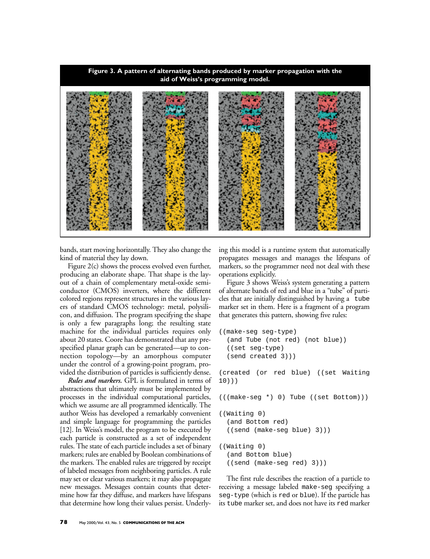

bands, start moving horizontally. They also change the kind of material they lay down.

Figure 2(c) shows the process evolved even further, producing an elaborate shape. That shape is the layout of a chain of complementary metal-oxide semiconductor (CMOS) inverters, where the different colored regions represent structures in the various layers of standard CMOS technology: metal, polysilicon, and diffusion. The program specifying the shape is only a few paragraphs long; the resulting state machine for the individual particles requires only about 20 states. Coore has demonstrated that any prespecified planar graph can be generated—up to connection topology—by an amorphous computer under the control of a growing-point program, provided the distribution of particles is sufficiently dense.

*Rules and markers.* GPL is formulated in terms of abstractions that ultimately must be implemented by processes in the individual computational particles, which we assume are all programmed identically. The author Weiss has developed a remarkably convenient and simple language for programming the particles [12]. In Weiss's model, the program to be executed by each particle is constructed as a set of independent rules. The state of each particle includes a set of binary markers; rules are enabled by Boolean combinations of the markers. The enabled rules are triggered by receipt of labeled messages from neighboring particles. A rule may set or clear various markers; it may also propagate new messages. Messages contain counts that determine how far they diffuse, and markers have lifespans that determine how long their values persist. Underlying this model is a runtime system that automatically propagates messages and manages the lifespans of markers, so the programmer need not deal with these operations explicitly.

Figure 3 shows Weiss's system generating a pattern of alternate bands of red and blue in a "tube" of particles that are initially distinguished by having a tube marker set in them. Here is a fragment of a program that generates this pattern, showing five rules:

```
((make-seg seg-type) 
  (and Tube (not red) (not blue)) 
  ((set seg-type) 
  (send created 3)))
(created (or red blue) ((set Waiting
10)))
(((make-seg *) 0) Tube ((set Bottom)))
((Waiting 0) 
  (and Bottom red) 
  ((send (make-seg blue) 3)))
((Waiting 0) 
  (and Bottom blue) 
  ((send (make-seg red) 3)))
```
The first rule describes the reaction of a particle to receiving a message labeled make-seg specifying a seg-type (which is red or blue). If the particle has its tube marker set, and does not have its red marker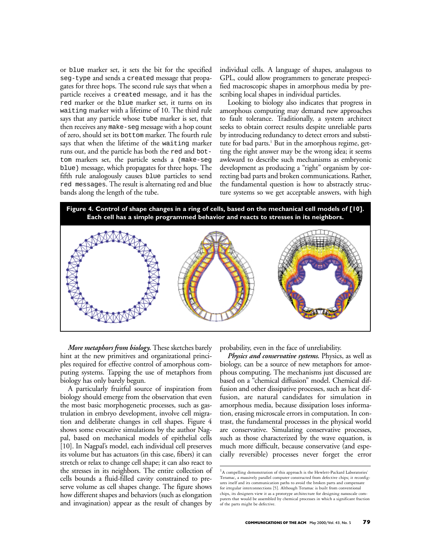or blue marker set, it sets the bit for the specified seg-type and sends a created message that propagates for three hops. The second rule says that when a particle receives a created message, and it has the red marker or the blue marker set, it turns on its waiting marker with a lifetime of 10. The third rule says that any particle whose tube marker is set, that then receives any make-seg message with a hop count of zero, should set its bottom marker. The fourth rule says that when the lifetime of the waiting marker runs out, and the particle has both the red and bottom markers set, the particle sends a (make-seg blue) message, which propagates for three hops. The fifth rule analogously causes blue particles to send red messages. The result is alternating red and blue bands along the length of the tube.

individual cells. A language of shapes, analagous to GPL, could allow programmers to generate prespecified macroscopic shapes in amorphous media by prescribing local shapes in individual particles.

Looking to biology also indicates that progress in amorphous computing may demand new approaches to fault tolerance. Traditionally, a system architect seeks to obtain correct results despite unreliable parts by introducing redundancy to detect errors and substitute for bad parts.<sup>1</sup> But in the amorphous regime, getting the right answer may be the wrong idea; it seems awkward to describe such mechanisms as embryonic development as producing a "right" organism by correcting bad parts and broken communications. Rather, the fundamental question is how to abstractly structure systems so we get acceptable answers, with high



*More metaphors from biology.* These sketches barely hint at the new primitives and organizational principles required for effective control of amorphous computing systems. Tapping the use of metaphors from biology has only barely begun.

A particularly fruitful source of inspiration from biology should emerge from the observation that even the most basic morphogenetic processes, such as gastrulation in embryo development, involve cell migration and deliberate changes in cell shapes. Figure 4 shows some evocative simulations by the author Nagpal, based on mechanical models of epithelial cells [10]. In Nagpal's model, each individual cell preserves its volume but has actuators (in this case, fibers) it can stretch or relax to change cell shape; it can also react to the stresses in its neighbors. The entire collection of cells bounds a fluid-filled cavity constrained to preserve volume as cell shapes change. The figure shows how different shapes and behaviors (such as elongation and invagination) appear as the result of changes by

probability, even in the face of unreliability.

*Physics and conservative systems.* Physics, as well as biology, can be a source of new metaphors for amorphous computing. The mechanisms just discussed are based on a "chemical diffusion" model. Chemical diffusion and other dissipative processes, such as heat diffusion, are natural candidates for simulation in amorphous media, because dissipation loses information, erasing microscale errors in computation. In contrast, the fundamental processes in the physical world are conservative. Simulating conservative processes, such as those characterized by the wave equation, is much more difficult, because conservative (and especially reversible) processes never forget the error

 ${}^{1}$ A compelling demonstration of this approach is the Hewlett-Packard Laboratories' Teramac, a massively parallel computer constructed from defective chips; it reconfigures itself and its communication paths to avoid the broken parts and compensate for irregular interconnections [5]. Although Teramac is built from conventional chips, its designers view it as a prototype architecture for designing nanoscale computers that would be assembled by chemical processes in which a significant fraction of the parts might be defective.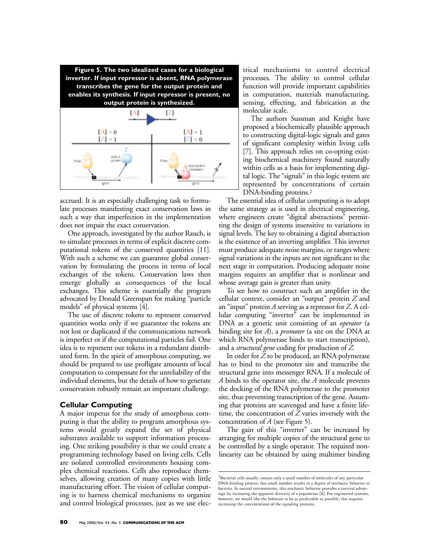

accrued. It is an especially challenging task to formulate processes manifesting exact conservation laws in such a way that imperfection in the implementation does not impair the exact conservation.

One approach, investigated by the author Rauch, is to simulate processes in terms of explicit discrete computational tokens of the conserved quantities [11]. With such a scheme we can guarantee global conservation by formulating the process in terms of local exchanges of the tokens. Conservation laws then emerge globally as consequences of the local exchanges. This scheme is essentially the program advocated by Donald Greenspan for making "particle models" of physical systems [4].

The use of discrete tokens to represent conserved quantities works only if we guarantee the tokens are not lost or duplicated if the communications network is imperfect or if the computational particles fail. One idea is to represent our tokens in a redundant distributed form. In the spirit of amorphous computing, we should be prepared to use profligate amounts of local computation to compensate for the unreliability of the individual elements, but the details of how to generate conservation robustly remain an important challenge.

### **Cellular Computing**

A major impetus for the study of amorphous computing is that the ability to program amorphous systems would greatly expand the set of physical substrates available to support information processing. One striking possibility is that we could create a programming technology based on living cells. Cells are isolated controlled environments housing complex chemical reactions. Cells also reproduce themselves, allowing creation of many copies with little manufacturing effort. The vision of cellular computing is to harness chemical mechanisms to organize and control biological processes, just as we use elec-

trical mechanisms to control electrical processes. The ability to control cellular function will provide important capabilities in computation, materials manufacturing, sensing, effecting, and fabrication at the molecular scale.

The authors Sussman and Knight have proposed a biochemically plausible approach to constructing digital-logic signals and gates of significant complexity within living cells [7]. This approach relies on co-opting existing biochemical machinery found naturally within cells as a basis for implementing digital logic. The "signals" in this logic system are represented by concentrations of certain DNA-binding proteins.<sup>2</sup>

The essential idea of cellular computing is to adopt the same strategy as is used in electrical engineering, where engineers create "digital abstractions" permitting the design of systems insensitive to variations in signal levels. The key to obtaining a digital abstraction is the existence of an inverting amplifier. This inverter must produce adequate noise margins, or ranges where signal variations in the inputs are not significant to the next stage in computation. Producing adequate noise margins requires an amplifier that is nonlinear and whose average gain is greater than unity.

To see how to construct such an amplifier in the cellular context, consider an "output" protein *Z* and an "input" protein *A* serving as a repressor for *Z*. A cellular computing "inverter" can be implemented in DNA as a genetic unit consisting of an *operator* (a binding site for *A*), a *promoter* (a site on the DNA at which RNA polymerase binds to start transcription), and a *structural gene* coding for production of *Z*.

In order for *Z* to be produced, an RNA polymerase has to bind to the promoter site and transcribe the structural gene into messenger RNA. If a molecule of *A* binds to the operator site, the *A* molecule prevents the docking of the RNA polymerase to the promoter site, thus preventing transcription of the gene. Assuming that proteins are scavenged and have a finite lifetime, the concentration of *Z* varies inversely with the concentration of *A* (see Figure 5).

The gain of this "inverter" can be increased by arranging for multiple copies of the structural gene to be controlled by a single operator. The required nonlinearity can be obtained by using multimer binding

<sup>&</sup>lt;sup>2</sup>Bacterial cells usually contain only a small number of molecules of any particular DNA-binding protein; this small number results in a degree of stochastic behavior in bacteria. In natural environments, this stochastic behavior provides a survival advantage by increasing the apparent diversity of a population [8]. For engineered systems, however, we would like the behavior to be as predictable as possible; this requires increasing the concentrations of the signaling proteins.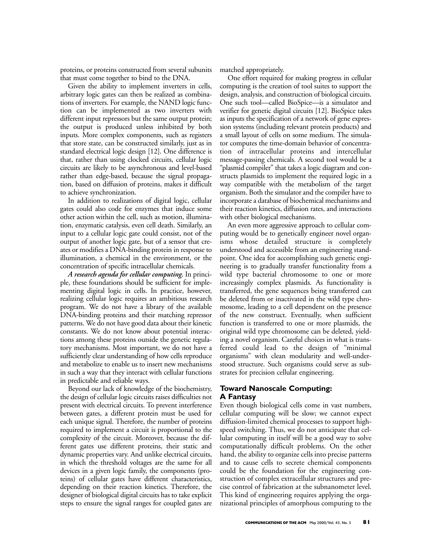proteins, or proteins constructed from several subunits that must come together to bind to the DNA.

Given the ability to implement inverters in cells, arbitrary logic gates can then be realized as combinations of inverters. For example, the NAND logic function can be implemented as two inverters with different input repressors but the same output protein; the output is produced unless inhibited by both inputs. More complex components, such as registers that store state, can be constructed similarly, just as in standard electrical logic design [12]. One difference is that, rather than using clocked circuits, cellular logic circuits are likely to be asynchronous and level-based rather than edge-based, because the signal propagation, based on diffusion of proteins, makes it difficult to achieve synchronization.

In addition to realizations of digital logic, cellular gates could also code for enzymes that induce some other action within the cell, such as motion, illumination, enzymatic catalysis, even cell death. Similarly, an input to a cellular logic gate could consist, not of the output of another logic gate, but of a sensor that creates or modifies a DNA-binding protein in response to illumination, a chemical in the environment, or the concentration of specific intracellular chemicals.

*A research agenda for cellular computing.* In principle, these foundations should be sufficient for implementing digital logic in cells. In practice, however, realizing cellular logic requires an ambitious research program. We do not have a library of the available DNA-binding proteins and their matching repressor patterns. We do not have good data about their kinetic constants. We do not know about potential interactions among these proteins outside the genetic regulatory mechanisms. Most important, we do not have a sufficiently clear understanding of how cells reproduce and metabolize to enable us to insert new mechanisms in such a way that they interact with cellular functions in predictable and reliable ways.

Beyond our lack of knowledge of the biochemistry, the design of cellular logic circuits raises difficulties not present with electrical circuits. To prevent interference between gates, a different protein must be used for each unique signal. Therefore, the number of proteins required to implement a circuit is proportional to the complexity of the circuit. Moreover, because the different gates use different proteins, their static and dynamic properties vary. And unlike electrical circuits, in which the threshold voltages are the same for all devices in a given logic family, the components (proteins) of cellular gates have different characteristics, depending on their reaction kinetics. Therefore, the designer of biological digital circuits has to take explicit steps to ensure the signal ranges for coupled gates are matched appropriately.

One effort required for making progress in cellular computing is the creation of tool suites to support the design, analysis, and construction of biological circuits. One such tool—called BioSpice—is a simulator and verifier for genetic digital circuits [12]. BioSpice takes as inputs the specification of a network of gene expression systems (including relevant protein products) and a small layout of cells on some medium. The simulator computes the time-domain behavior of concentration of intracellular proteins and intercellular message-passing chemicals. A second tool would be a "plasmid compiler" that takes a logic diagram and constructs plasmids to implement the required logic in a way compatible with the metabolism of the target organism. Both the simulator and the compiler have to incorporate a database of biochemical mechanisms and their reaction kinetics, diffusion rates, and interactions with other biological mechanisms.

An even more aggressive approach to cellular computing would be to genetically engineer novel organisms whose detailed structure is completely understood and accessible from an engineering standpoint. One idea for accomplishing such genetic engineering is to gradually transfer functionality from a wild type bacterial chromosome to one or more increasingly complex plasmids. As functionality is transferred, the gene sequences being transferred can be deleted from or inactivated in the wild type chromosome, leading to a cell dependent on the presence of the new construct. Eventually, when sufficient function is transferred to one or more plasmids, the original wild type chromosome can be deleted, yielding a novel organism. Careful choices in what is transferred could lead to the design of "minimal organisms" with clean modularity and well-understood structure. Such organisms could serve as substrates for precision cellular engineering.

## **Toward Nanoscale Computing: A Fantasy**

Even though biological cells come in vast numbers, cellular computing will be slow; we cannot expect diffusion-limited chemical processes to support highspeed switching. Thus, we do not anticipate that cellular computing in itself will be a good way to solve computationally difficult problems. On the other hand, the ability to organize cells into precise patterns and to cause cells to secrete chemical components could be the foundation for the engineering construction of complex extracellular structures and precise control of fabrication at the subnanometer level. This kind of engineering requires applying the organizational principles of amorphous computing to the